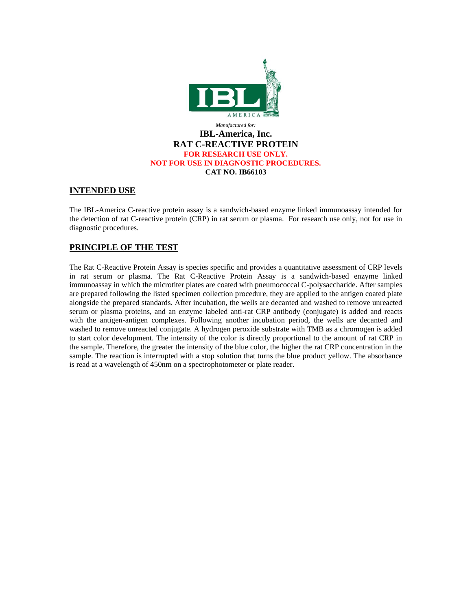

### **INTENDED USE**

The IBL-America C-reactive protein assay is a sandwich-based enzyme linked immunoassay intended for the detection of rat C-reactive protein (CRP) in rat serum or plasma. For research use only, not for use in diagnostic procedures.

# **PRINCIPLE OF THE TEST**

The Rat C-Reactive Protein Assay is species specific and provides a quantitative assessment of CRP levels in rat serum or plasma. The Rat C-Reactive Protein Assay is a sandwich-based enzyme linked immunoassay in which the microtiter plates are coated with pneumococcal C-polysaccharide. After samples are prepared following the listed specimen collection procedure, they are applied to the antigen coated plate alongside the prepared standards. After incubation, the wells are decanted and washed to remove unreacted serum or plasma proteins, and an enzyme labeled anti-rat CRP antibody (conjugate) is added and reacts with the antigen-antigen complexes. Following another incubation period, the wells are decanted and washed to remove unreacted conjugate. A hydrogen peroxide substrate with TMB as a chromogen is added to start color development. The intensity of the color is directly proportional to the amount of rat CRP in the sample. Therefore, the greater the intensity of the blue color, the higher the rat CRP concentration in the sample. The reaction is interrupted with a stop solution that turns the blue product yellow. The absorbance is read at a wavelength of 450nm on a spectrophotometer or plate reader.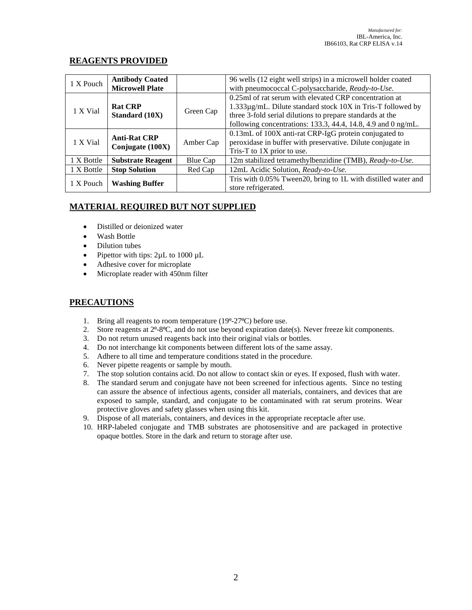## **REAGENTS PROVIDED**

| 1 X Pouch  | <b>Antibody Coated</b><br><b>Microwell Plate</b> |           | 96 wells (12 eight well strips) in a microwell holder coated<br>with pneumococcal C-polysaccharide, Ready-to-Use.                                                                                                                                   |
|------------|--------------------------------------------------|-----------|-----------------------------------------------------------------------------------------------------------------------------------------------------------------------------------------------------------------------------------------------------|
| 1 X Vial   | <b>Rat CRP</b><br><b>Standard (10X)</b>          | Green Cap | 0.25ml of rat serum with elevated CRP concentration at<br>1.333µg/mL. Dilute standard stock 10X in Tris-T followed by<br>three 3-fold serial dilutions to prepare standards at the<br>following concentrations: 133.3, 44.4, 14.8, 4.9 and 0 ng/mL. |
| 1 X Vial   | <b>Anti-Rat CRP</b><br>Conjugate (100X)          | Amber Cap | 0.13mL of 100X anti-rat CRP-IgG protein conjugated to<br>peroxidase in buffer with preservative. Dilute conjugate in<br>Tris-T to $1X$ prior to use.                                                                                                |
| 1 X Bottle | <b>Substrate Reagent</b>                         | Blue Cap  | 12m stabilized tetramethylbenzidine (TMB), Ready-to-Use.                                                                                                                                                                                            |
| 1 X Bottle | <b>Stop Solution</b>                             | Red Cap   | 12mL Acidic Solution, Ready-to-Use.                                                                                                                                                                                                                 |
| 1 X Pouch  | <b>Washing Buffer</b>                            |           | Tris with 0.05% Tween20, bring to 1L with distilled water and<br>store refrigerated.                                                                                                                                                                |

# **MATERIAL REQUIRED BUT NOT SUPPLIED**

- Distilled or deionized water
- Wash Bottle
- Dilution tubes
- Pipettor with tips:  $2\mu L$  to 1000  $\mu L$
- Adhesive cover for microplate
- Microplate reader with 450nm filter

## **PRECAUTIONS**

- 1. Bring all reagents to room temperature  $(19^{\circ} 27^{\circ}C)$  before use.
- 2. Store reagents at  $2^{\circ}$ -8<sup>o</sup>C, and do not use beyond expiration date(s). Never freeze kit components.
- 3. Do not return unused reagents back into their original vials or bottles.
- 4. Do not interchange kit components between different lots of the same assay.
- 5. Adhere to all time and temperature conditions stated in the procedure.
- 6. Never pipette reagents or sample by mouth.
- 7. The stop solution contains acid. Do not allow to contact skin or eyes. If exposed, flush with water.
- 8. The standard serum and conjugate have not been screened for infectious agents. Since no testing can assure the absence of infectious agents, consider all materials, containers, and devices that are exposed to sample, standard, and conjugate to be contaminated with rat serum proteins. Wear protective gloves and safety glasses when using this kit.
- 9. Dispose of all materials, containers, and devices in the appropriate receptacle after use.
- 10. HRP-labeled conjugate and TMB substrates are photosensitive and are packaged in protective opaque bottles. Store in the dark and return to storage after use.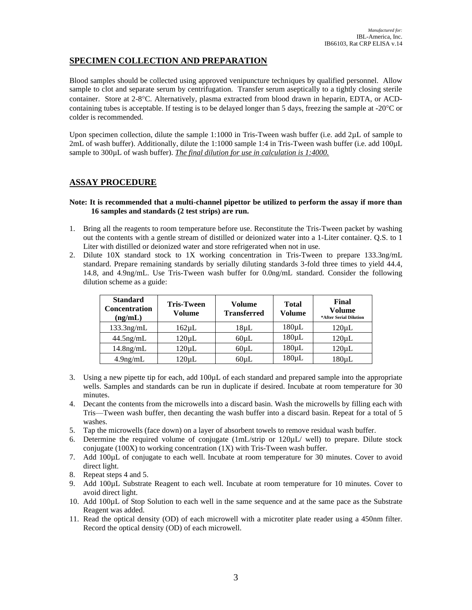# **SPECIMEN COLLECTION AND PREPARATION**

Blood samples should be collected using approved venipuncture techniques by qualified personnel. Allow sample to clot and separate serum by centrifugation. Transfer serum aseptically to a tightly closing sterile container. Store at 2-8C. Alternatively, plasma extracted from blood drawn in heparin, EDTA, or ACDcontaining tubes is acceptable. If testing is to be delayed longer than 5 days, freezing the sample at  $-20^{\circ}$ C or colder is recommended.

Upon specimen collection, dilute the sample 1:1000 in Tris-Tween wash buffer (i.e. add 2µL of sample to 2mL of wash buffer). Additionally, dilute the 1:1000 sample 1:4 in Tris-Tween wash buffer (i.e. add 100µL sample to 300µL of wash buffer). *The final dilution for use in calculation is 1:4000*.

### **ASSAY PROCEDURE**

### **Note: It is recommended that a multi-channel pipettor be utilized to perform the assay if more than 16 samples and standards (2 test strips) are run.**

- 1. Bring all the reagents to room temperature before use. Reconstitute the Tris-Tween packet by washing out the contents with a gentle stream of distilled or deionized water into a 1-Liter container. Q.S. to 1 Liter with distilled or deionized water and store refrigerated when not in use.
- 2. Dilute 10X standard stock to 1X working concentration in Tris-Tween to prepare 133.3ng/mL standard. Prepare remaining standards by serially diluting standards 3-fold three times to yield 44.4, 14.8, and 4.9ng/mL. Use Tris-Tween wash buffer for 0.0ng/mL standard. Consider the following dilution scheme as a guide:

| <b>Standard</b><br><b>Concentration</b><br>(ng/mL) | <b>Tris-Tween</b><br>Volume | Volume<br><b>Transferred</b> | <b>Total</b><br>Volume | Final<br>Volume<br>*After Serial Dilution |
|----------------------------------------------------|-----------------------------|------------------------------|------------------------|-------------------------------------------|
| $133.3$ ng/mL                                      | $162 \mu L$                 | $18 \mu L$                   | $180 \mu L$            | $120 \mu L$                               |
| $44.5$ ng/mL                                       | 120uL                       | $60 \mu L$                   | $180 \mu L$            | $120 \mu L$                               |
| $14.8$ ng/mL                                       | 120uL                       | 60uL                         | $180 \mu L$            | $120 \mu L$                               |
| $4.9$ ng/mL                                        | 120uL                       | $60 \mu L$                   | 180µL                  | 180µL                                     |

- 3. Using a new pipette tip for each, add 100µL of each standard and prepared sample into the appropriate wells. Samples and standards can be run in duplicate if desired. Incubate at room temperature for 30 minutes.
- 4. Decant the contents from the microwells into a discard basin. Wash the microwells by filling each with Tris—Tween wash buffer, then decanting the wash buffer into a discard basin. Repeat for a total of 5 washes.
- 5. Tap the microwells (face down) on a layer of absorbent towels to remove residual wash buffer.
- 6. Determine the required volume of conjugate (1mL/strip or 120µL/ well) to prepare. Dilute stock conjugate (100X) to working concentration  $(1X)$  with Tris-Tween wash buffer.
- 7. Add 100µL of conjugate to each well. Incubate at room temperature for 30 minutes. Cover to avoid direct light.
- 8. Repeat steps 4 and 5.
- 9. Add 100µL Substrate Reagent to each well. Incubate at room temperature for 10 minutes. Cover to avoid direct light.
- 10. Add 100µL of Stop Solution to each well in the same sequence and at the same pace as the Substrate Reagent was added.
- 11. Read the optical density (OD) of each microwell with a microtiter plate reader using a 450nm filter. Record the optical density (OD) of each microwell.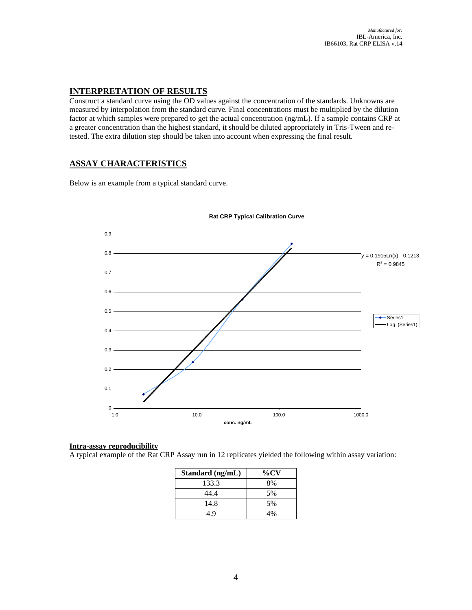## **INTERPRETATION OF RESULTS**

Construct a standard curve using the OD values against the concentration of the standards. Unknowns are measured by interpolation from the standard curve. Final concentrations must be multiplied by the dilution factor at which samples were prepared to get the actual concentration (ng/mL). If a sample contains CRP at a greater concentration than the highest standard, it should be diluted appropriately in Tris-Tween and retested. The extra dilution step should be taken into account when expressing the final result.

## **ASSAY CHARACTERISTICS**

Below is an example from a typical standard curve.



#### **Rat CRP Typical Calibration Curve**

### **Intra-assay reproducibility**

A typical example of the Rat CRP Assay run in 12 replicates yielded the following within assay variation:

| Standard (ng/mL) | $\%$ CV |
|------------------|---------|
| 133.3            | 8%      |
| 44.4             | 5%      |
| 14.8             | 5%      |
| 49               | 4%      |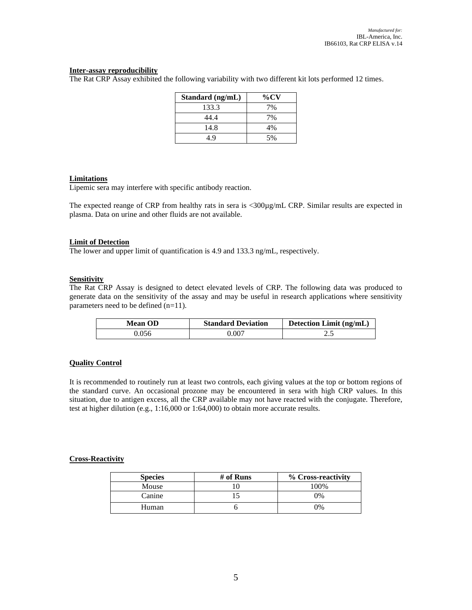### **Inter-assay reproducibility**

The Rat CRP Assay exhibited the following variability with two different kit lots performed 12 times.

| Standard (ng/mL) | $\%$ CV |
|------------------|---------|
| 133.3            | 7%      |
| 44.4             | 7%      |
| 14.8             | 4%      |
| 1 Q              | 5%      |

### **Limitations**

Lipemic sera may interfere with specific antibody reaction.

The expected reange of CRP from healthy rats in sera is <300µg/mL CRP. Similar results are expected in plasma. Data on urine and other fluids are not available.

#### **Limit of Detection**

The lower and upper limit of quantification is 4.9 and 133.3 ng/mL, respectively.

#### **Sensitivity**

The Rat CRP Assay is designed to detect elevated levels of CRP. The following data was produced to generate data on the sensitivity of the assay and may be useful in research applications where sensitivity parameters need to be defined (n=11).

| <b>Mean OD</b> | <b>Standard Deviation</b> | Detection Limit (ng/mL) |
|----------------|---------------------------|-------------------------|
| 0.056          | 0.007                     |                         |

#### **Quality Control**

It is recommended to routinely run at least two controls, each giving values at the top or bottom regions of the standard curve. An occasional prozone may be encountered in sera with high CRP values. In this situation, due to antigen excess, all the CRP available may not have reacted with the conjugate. Therefore, test at higher dilution (e.g., 1:16,000 or 1:64,000) to obtain more accurate results.

#### **Cross-Reactivity**

| <b>Species</b> | # of Runs | % Cross-reactivity |
|----------------|-----------|--------------------|
| Mouse          |           | 100%               |
| Canine         |           | 0%                 |
| Human          |           | 0%                 |